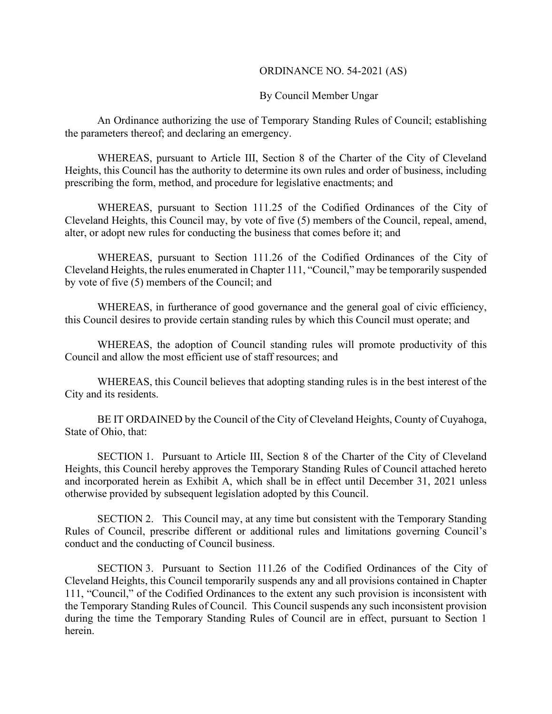#### ORDINANCE NO. 54-2021 (AS)

#### By Council Member Ungar

An Ordinance authorizing the use of Temporary Standing Rules of Council; establishing the parameters thereof; and declaring an emergency.

WHEREAS, pursuant to Article III, Section 8 of the Charter of the City of Cleveland Heights, this Council has the authority to determine its own rules and order of business, including prescribing the form, method, and procedure for legislative enactments; and

WHEREAS, pursuant to Section 111.25 of the Codified Ordinances of the City of Cleveland Heights, this Council may, by vote of five (5) members of the Council, repeal, amend, alter, or adopt new rules for conducting the business that comes before it; and

WHEREAS, pursuant to Section 111.26 of the Codified Ordinances of the City of Cleveland Heights, the rules enumerated in Chapter 111, "Council," may be temporarily suspended by vote of five (5) members of the Council; and

WHEREAS, in furtherance of good governance and the general goal of civic efficiency, this Council desires to provide certain standing rules by which this Council must operate; and

WHEREAS, the adoption of Council standing rules will promote productivity of this Council and allow the most efficient use of staff resources; and

WHEREAS, this Council believes that adopting standing rules is in the best interest of the City and its residents.

BE IT ORDAINED by the Council of the City of Cleveland Heights, County of Cuyahoga, State of Ohio, that:

SECTION 1. Pursuant to Article III, Section 8 of the Charter of the City of Cleveland Heights, this Council hereby approves the Temporary Standing Rules of Council attached hereto and incorporated herein as Exhibit A, which shall be in effect until December 31, 2021 unless otherwise provided by subsequent legislation adopted by this Council.

SECTION 2. This Council may, at any time but consistent with the Temporary Standing Rules of Council, prescribe different or additional rules and limitations governing Council's conduct and the conducting of Council business.

SECTION 3. Pursuant to Section 111.26 of the Codified Ordinances of the City of Cleveland Heights, this Council temporarily suspends any and all provisions contained in Chapter 111, "Council," of the Codified Ordinances to the extent any such provision is inconsistent with the Temporary Standing Rules of Council. This Council suspends any such inconsistent provision during the time the Temporary Standing Rules of Council are in effect, pursuant to Section 1 herein.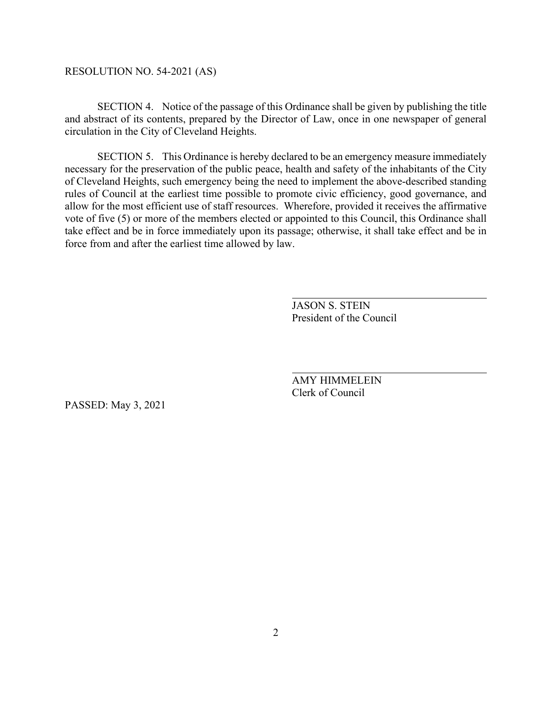### RESOLUTION NO. 54-2021 (AS)

SECTION 4. Notice of the passage of this Ordinance shall be given by publishing the title and abstract of its contents, prepared by the Director of Law, once in one newspaper of general circulation in the City of Cleveland Heights.

SECTION 5. This Ordinance is hereby declared to be an emergency measure immediately necessary for the preservation of the public peace, health and safety of the inhabitants of the City of Cleveland Heights, such emergency being the need to implement the above-described standing rules of Council at the earliest time possible to promote civic efficiency, good governance, and allow for the most efficient use of staff resources. Wherefore, provided it receives the affirmative vote of five (5) or more of the members elected or appointed to this Council, this Ordinance shall take effect and be in force immediately upon its passage; otherwise, it shall take effect and be in force from and after the earliest time allowed by law.

> JASON S. STEIN President of the Council

AMY HIMMELEIN Clerk of Council

PASSED: May 3, 2021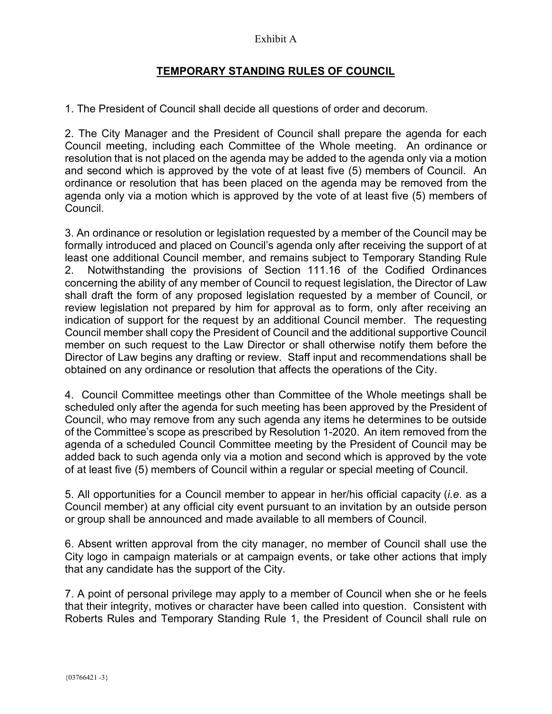## Exhibit A

# **TEMPORARY STANDING RULES OF COUNCIL**

1. The President of Council shall decide all questions of order and decorum.

2. The City Manager and the President of Council shall prepare the agenda for each Council meeting, including each Committee of the Whole meeting. An ordinance or resolution that is not placed on the agenda may be added to the agenda only via a motion and second which is approved by the vote of at least five (5) members of Council. An ordinance or resolution that has been placed on the agenda may be removed from the agenda only via a motion which is approved by the vote of at least five (5) members of Council.

3. An ordinance or resolution or legislation requested by a member of the Council may be formally introduced and placed on Council's agenda only after receiving the support of at least one additional Council member, and remains subject to Temporary Standing Rule 2. Notwithstanding the provisions of Section 111.16 of the Codified Ordinances concerning the ability of any member of Council to request legislation, the Director of Law shall draft the form of any proposed legislation requested by a member of Council, or review legislation not prepared by him for approval as to form, only after receiving an indication of support for the request by an additional Council member. The requesting Council member shall copy the President of Council and the additional supportive Council member on such request to the Law Director or shall otherwise notify them before the Director of Law begins any drafting or review. Staff input and recommendations shall be obtained on any ordinance or resolution that affects the operations of the City.

4. Council Committee meetings other than Committee of the Whole meetings shall be scheduled only after the agenda for such meeting has been approved by the President of Council, who may remove from any such agenda any items he determines to be outside of the Committee's scope as prescribed by Resolution 1-2020. An item removed from the agenda of a scheduled Council Committee meeting by the President of Council may be added back to such agenda only via a motion and second which is approved by the vote of at least five (5) members of Council within a regular or special meeting of Council.

5. All opportunities for a Council member to appear in her/his official capacity (*i.e*. as a Council member) at any official city event pursuant to an invitation by an outside person or group shall be announced and made available to all members of Council.

6. Absent written approval from the city manager, no member of Council shall use the City logo in campaign materials or at campaign events, or take other actions that imply that any candidate has the support of the City.

7. A point of personal privilege may apply to a member of Council when she or he feels that their integrity, motives or character have been called into question. Consistent with Roberts Rules and Temporary Standing Rule 1, the President of Council shall rule on